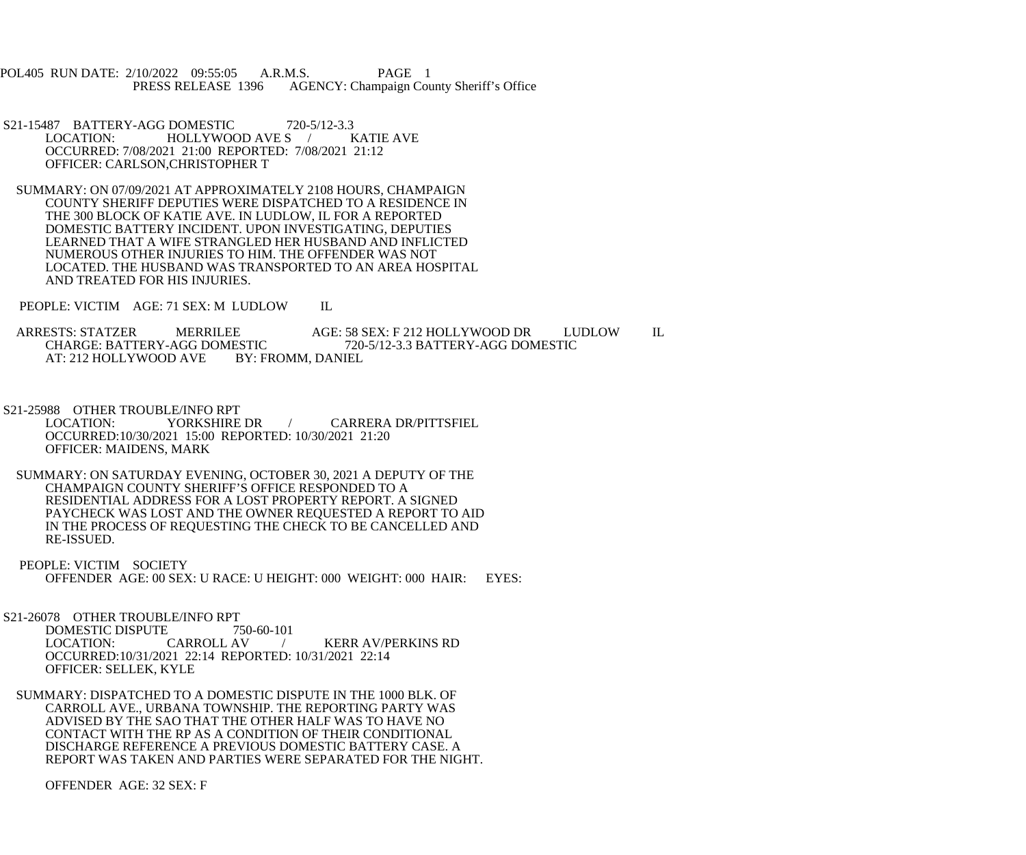POL405 RUN DATE: 2/10/2022 09:55:05 A.R.M.S. PAGE 1<br>PRESS RELEASE 1396 AGENCY: Champaign Cou AGENCY: Champaign County Sheriff's Office

- S21-15487 BATTERY-AGG DOMESTIC 720-5/12-3.3<br>LOCATION: HOLLYWOOD AVE S / KATIE AVE HOLLYWOOD AVE S OCCURRED: 7/08/2021 21:00 REPORTED: 7/08/2021 21:12 OFFICER: CARLSON,CHRISTOPHER T
- SUMMARY: ON 07/09/2021 AT APPROXIMATELY 2108 HOURS, CHAMPAIGN COUNTY SHERIFF DEPUTIES WERE DISPATCHED TO A RESIDENCE IN THE 300 BLOCK OF KATIE AVE. IN LUDLOW, IL FOR A REPORTED DOMESTIC BATTERY INCIDENT. UPON INVESTIGATING, DEPUTIES LEARNED THAT A WIFE STRANGLED HER HUSBAND AND INFLICTED NUMEROUS OTHER INJURIES TO HIM. THE OFFENDER WAS NOT LOCATED. THE HUSBAND WAS TRANSPORTED TO AN AREA HOSPITAL AND TREATED FOR HIS INJURIES.
- PEOPLE: VICTIM AGE: 71 SEX: M LUDLOW IL

ARRESTS: STATZER MERRILEE AGE: 58 SEX: F 212 HOLLYWOOD DR LUDLOW IL<br>CHARGE: BATTERY-AGG DOMESTIC 720-5/12-3.3 BATTERY-AGG DOMESTIC ESTIC 720-5/12-3.3 BATTERY-AGG DOMESTIC<br>BY: FROMM. DANIEL AT: 212 HOLLYWOOD AVE

- S21-25988 OTHER TROUBLE/INFO RPT<br>LOCATION: YORKSHIRE DR CARRERA DR/PITTSFIEL OCCURRED:10/30/2021 15:00 REPORTED: 10/30/2021 21:20 OFFICER: MAIDENS, MARK
- SUMMARY: ON SATURDAY EVENING, OCTOBER 30, 2021 A DEPUTY OF THE CHAMPAIGN COUNTY SHERIFF'S OFFICE RESPONDED TO A RESIDENTIAL ADDRESS FOR A LOST PROPERTY REPORT. A SIGNED PAYCHECK WAS LOST AND THE OWNER REQUESTED A REPORT TO AID IN THE PROCESS OF REQUESTING THE CHECK TO BE CANCELLED AND RE-ISSUED.
- PEOPLE: VICTIM SOCIETY OFFENDER AGE: 00 SEX: U RACE: U HEIGHT: 000 WEIGHT: 000 HAIR: EYES:

S21-26078 OTHER TROUBLE/INFO RPT<br>DOMESTIC DISPUTE 750-60-101

DOMESTIC DISPUTE 750<br>LOCATION: CARROLL AV / KERR AV/PERKINS RD OCCURRED:10/31/2021 22:14 REPORTED: 10/31/2021 22:14 OFFICER: SELLEK, KYLE

 SUMMARY: DISPATCHED TO A DOMESTIC DISPUTE IN THE 1000 BLK. OF CARROLL AVE., URBANA TOWNSHIP. THE REPORTING PARTY WAS ADVISED BY THE SAO THAT THE OTHER HALF WAS TO HAVE NO CONTACT WITH THE RP AS A CONDITION OF THEIR CONDITIONAL DISCHARGE REFERENCE A PREVIOUS DOMESTIC BATTERY CASE. A REPORT WAS TAKEN AND PARTIES WERE SEPARATED FOR THE NIGHT.

OFFENDER AGE: 32 SEX: F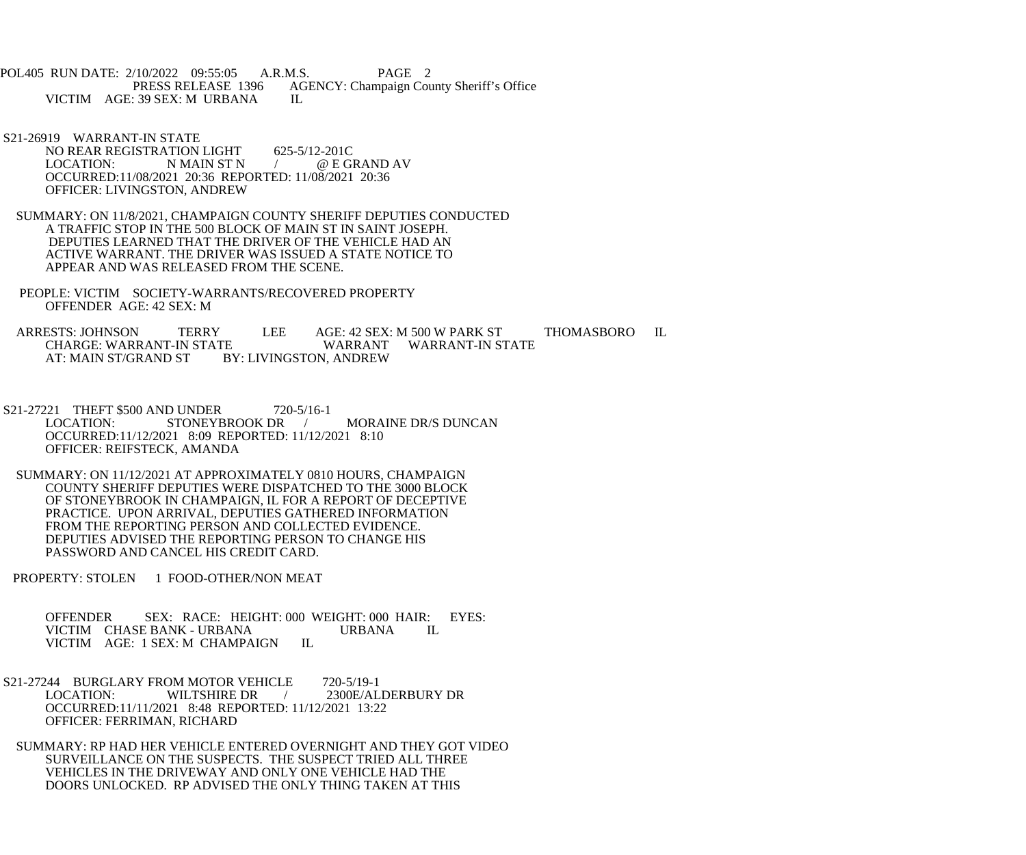POL405 RUN DATE: 2/10/2022 09:55:05 A.R.M.S. PAGE 2<br>PRESS RELEASE 1396 AGENCY: Champaign Cou AGENCY: Champaign County Sheriff's Office VICTIM AGE: 39 SEX: M URBANA IL

- S21-26919 WARRANT-IN STATE NO REAR REGISTRATION LIGHT 625-5/12-201C<br>LOCATION: N MAIN ST N (@EGI LOCATION: N MAIN ST N  $/$  @ E GRAND AV OCCURRED:11/08/2021 20:36 REPORTED: 11/08/2021 20:36 OFFICER: LIVINGSTON, ANDREW
- SUMMARY: ON 11/8/2021, CHAMPAIGN COUNTY SHERIFF DEPUTIES CONDUCTED A TRAFFIC STOP IN THE 500 BLOCK OF MAIN ST IN SAINT JOSEPH. DEPUTIES LEARNED THAT THE DRIVER OF THE VEHICLE HAD AN ACTIVE WARRANT. THE DRIVER WAS ISSUED A STATE NOTICE TO APPEAR AND WAS RELEASED FROM THE SCENE.
- PEOPLE: VICTIM SOCIETY-WARRANTS/RECOVERED PROPERTY OFFENDER AGE: 42 SEX: M

ARRESTS: JOHNSON TERRY LEE AGE: 42 SEX: M 500 W PARK ST THOMASBORO IL CHARGE: WARRANT-IN STATE CHARGE: WARRANT-IN STATE WARRANT<br>AT: MAIN ST/GRAND ST BY: LIVINGSTON. ANDREW BY: LIVINGSTON, ANDREW

- S21-27221 THEFT \$500 AND UNDER 720-5/16-1<br>LOCATION: STONEYBROOK DR STONEYBROOK DR / MORAINE DR/S DUNCAN OCCURRED:11/12/2021 8:09 REPORTED: 11/12/2021 8:10 OFFICER: REIFSTECK, AMANDA
- SUMMARY: ON 11/12/2021 AT APPROXIMATELY 0810 HOURS, CHAMPAIGN COUNTY SHERIFF DEPUTIES WERE DISPATCHED TO THE 3000 BLOCK OF STONEYBROOK IN CHAMPAIGN, IL FOR A REPORT OF DECEPTIVE PRACTICE. UPON ARRIVAL, DEPUTIES GATHERED INFORMATION FROM THE REPORTING PERSON AND COLLECTED EVIDENCE. DEPUTIES ADVISED THE REPORTING PERSON TO CHANGE HIS PASSWORD AND CANCEL HIS CREDIT CARD.
- PROPERTY: STOLEN 1 FOOD-OTHER/NON MEAT

OFFENDER SEX: RACE: HEIGHT: 000 WEIGHT: 000 HAIR: EYES:<br>VICTIM CHASE BANK - URBANA URBANA LL VICTIM CHASE BANK - URBANA<br>VICTIM AGE: 1 SEX: M CHAMPAIGN IL VICTIM AGE: 1 SEX: M CHAMPAIGN

S21-27244 BURGLARY FROM MOTOR VEHICLE 720-5/19-1<br>LOCATION: WILTSHIRE DR / 2300E/AL / 2300E/ALDERBURY DR OCCURRED:11/11/2021 8:48 REPORTED: 11/12/2021 13:22 OFFICER: FERRIMAN, RICHARD

 SUMMARY: RP HAD HER VEHICLE ENTERED OVERNIGHT AND THEY GOT VIDEO SURVEILLANCE ON THE SUSPECTS. THE SUSPECT TRIED ALL THREE VEHICLES IN THE DRIVEWAY AND ONLY ONE VEHICLE HAD THE DOORS UNLOCKED. RP ADVISED THE ONLY THING TAKEN AT THIS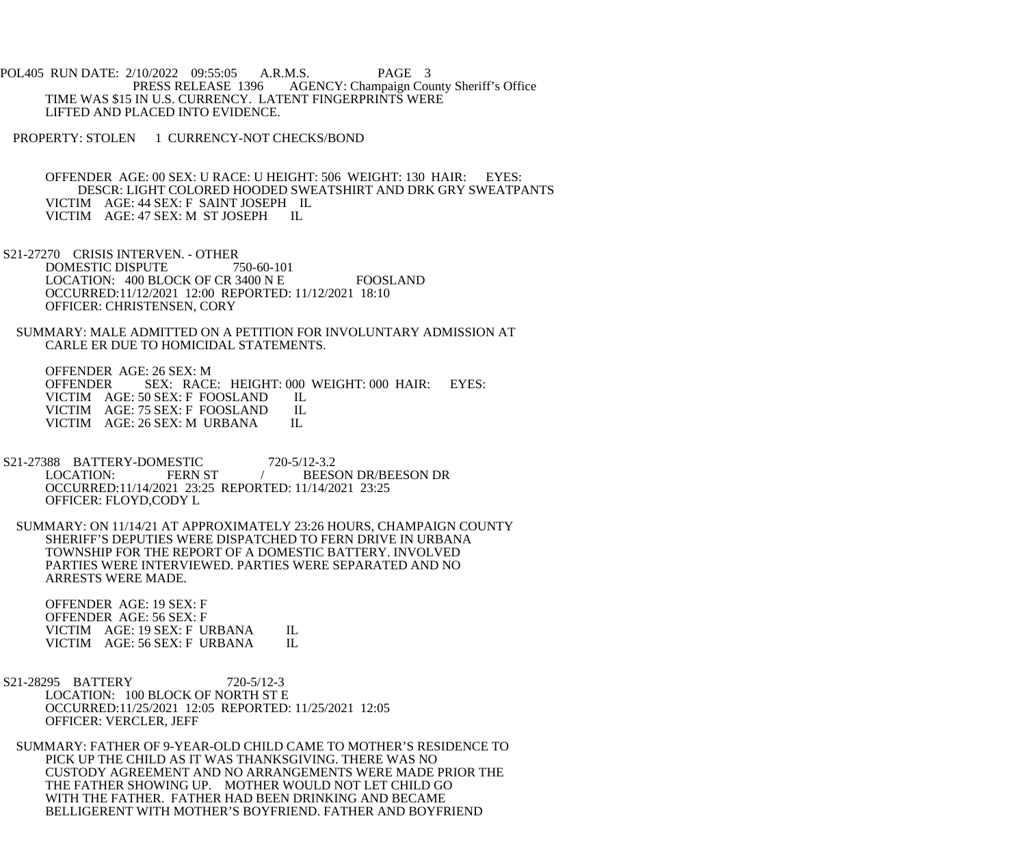POL405 RUN DATE: 2/10/2022 09:55:05 A.R.M.S. PAGE 3 PRESS RELEASE 1396 AGENCY: Champaign County Sheriff's Office TIME WAS \$15 IN U.S. CURRENCY. LATENT FINGERPRINTS WERE LIFTED AND PLACED INTO EVIDENCE.

PROPERTY: STOLEN 1 CURRENCY-NOT CHECKS/BOND

 OFFENDER AGE: 00 SEX: U RACE: U HEIGHT: 506 WEIGHT: 130 HAIR: EYES: DESCR: LIGHT COLORED HOODED SWEATSHIRT AND DRK GRY SWEATPANTS VICTIM AGE: 44 SEX: F SAINT JOSEPH IL VICTIM AGE: 47 SEX: M ST JOSEPH IL

 S21-27270 CRISIS INTERVEN. - OTHER DOMESTIC DISPUTE 750-60-101 LOCATION: 400 BLOCK OF CR 3400 N E FOOSLAND OCCURRED:11/12/2021 12:00 REPORTED: 11/12/2021 18:10 OFFICER: CHRISTENSEN, CORY

 SUMMARY: MALE ADMITTED ON A PETITION FOR INVOLUNTARY ADMISSION AT CARLE ER DUE TO HOMICIDAL STATEMENTS.

 OFFENDER AGE: 26 SEX: M OFFENDER SEX: RACE: HEIGHT: 000 WEIGHT: 000 HAIR: EYES: VICTIM AGE: 50 SEX: F FOOSLAND IL VICTIM AGE: 50 SEX: F FOOSLAND IL<br>VICTIM AGE: 75 SEX: F FOOSLAND IL VICTIM AGE: 75 SEX: F FOOSLAND IL<br>VICTIM AGE: 26 SEX: M URBANA IL VICTIM AGE: 26 SEX: M URBANA

- S21-27388 BATTERY-DOMESTIC 720-5/12-3.2<br>LOCATION: FERN ST / BEES BEESON DR/BEESON DR OCCURRED:11/14/2021 23:25 REPORTED: 11/14/2021 23:25 OFFICER: FLOYD,CODY L
- SUMMARY: ON 11/14/21 AT APPROXIMATELY 23:26 HOURS, CHAMPAIGN COUNTY SHERIFF'S DEPUTIES WERE DISPATCHED TO FERN DRIVE IN URBANA TOWNSHIP FOR THE REPORT OF A DOMESTIC BATTERY. INVOLVED PARTIES WERE INTERVIEWED. PARTIES WERE SEPARATED AND NO ARRESTS WERE MADE.

 OFFENDER AGE: 19 SEX: F OFFENDER AGE: 56 SEX: F VICTIM AGE: 19 SEX: F URBANA IL<br>VICTIM AGE: 56 SEX: F URBANA IL VICTIM AGE: 56 SEX: F URBANA

 S21-28295 BATTERY 720-5/12-3 LOCATION: 100 BLOCK OF NORTH ST E OCCURRED:11/25/2021 12:05 REPORTED: 11/25/2021 12:05 OFFICER: VERCLER, JEFF

 SUMMARY: FATHER OF 9-YEAR-OLD CHILD CAME TO MOTHER'S RESIDENCE TO PICK UP THE CHILD AS IT WAS THANKSGIVING. THERE WAS NO CUSTODY AGREEMENT AND NO ARRANGEMENTS WERE MADE PRIOR THE THE FATHER SHOWING UP. MOTHER WOULD NOT LET CHILD GO WITH THE FATHER. FATHER HAD BEEN DRINKING AND BECAME BELLIGERENT WITH MOTHER'S BOYFRIEND. FATHER AND BOYFRIEND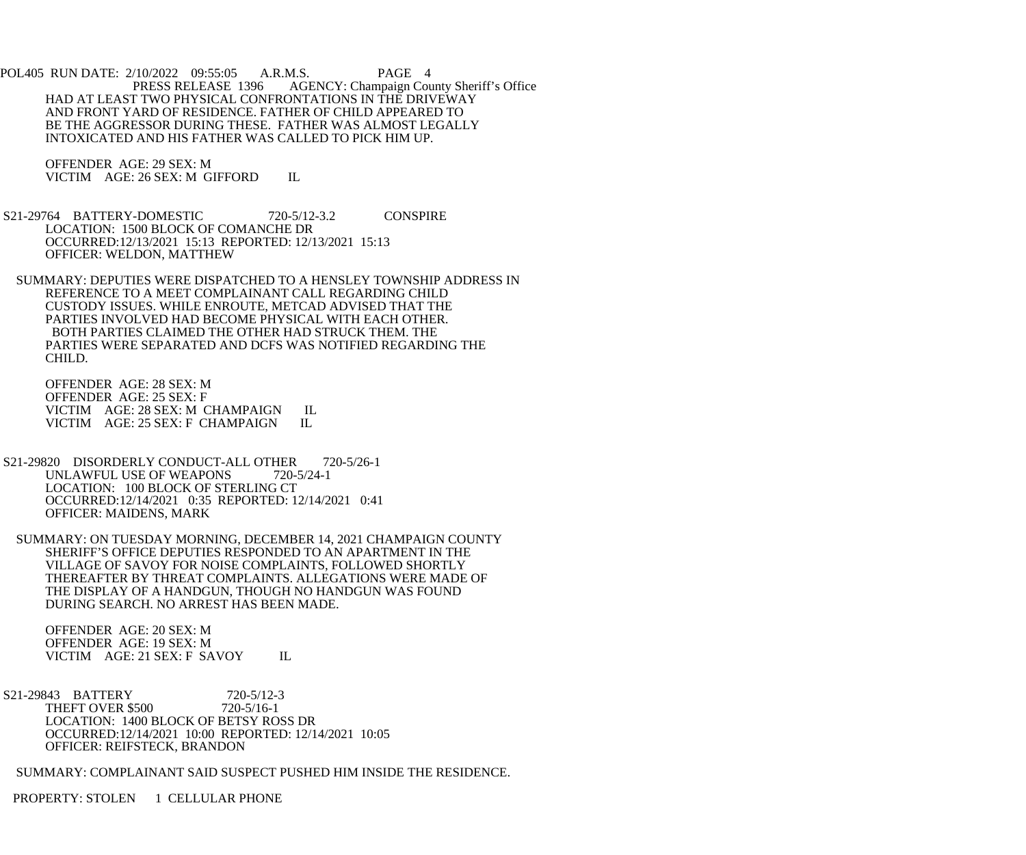POL405 RUN DATE: 2/10/2022 09:55:05 A.R.M.S. PAGE 4<br>PRESS RELEASE 1396 AGENCY: Champaign Cou AGENCY: Champaign County Sheriff's Office HAD AT LEAST TWO PHYSICAL CONFRONTATIONS IN THE DRIVEWAY AND FRONT YARD OF RESIDENCE. FATHER OF CHILD APPEARED TO BE THE AGGRESSOR DURING THESE. FATHER WAS ALMOST LEGALLY INTOXICATED AND HIS FATHER WAS CALLED TO PICK HIM UP.

 OFFENDER AGE: 29 SEX: M VICTIM AGE: 26 SEX: M GIFFORD IL

 S21-29764 BATTERY-DOMESTIC 720-5/12-3.2 CONSPIRE LOCATION: 1500 BLOCK OF COMANCHE DR OCCURRED:12/13/2021 15:13 REPORTED: 12/13/2021 15:13 OFFICER: WELDON, MATTHEW

 SUMMARY: DEPUTIES WERE DISPATCHED TO A HENSLEY TOWNSHIP ADDRESS IN REFERENCE TO A MEET COMPLAINANT CALL REGARDING CHILD CUSTODY ISSUES. WHILE ENROUTE, METCAD ADVISED THAT THE PARTIES INVOLVED HAD BECOME PHYSICAL WITH EACH OTHER. BOTH PARTIES CLAIMED THE OTHER HAD STRUCK THEM. THE PARTIES WERE SEPARATED AND DCFS WAS NOTIFIED REGARDING THE CHILD.

 OFFENDER AGE: 28 SEX: M OFFENDER AGE: 25 SEX: F VICTIM AGE: 28 SEX: M CHAMPAIGN IL<br>VICTIM AGE: 25 SEX: F CHAMPAIGN IL VICTIM AGE: 25 SEX: F CHAMPAIGN

S21-29820 DISORDERLY CONDUCT-ALL OTHER 720-5/26-1<br>UNLAWFUL USE OF WEAPONS 720-5/24-1 UNLAWFUL USE OF WEAPONS LOCATION: 100 BLOCK OF STERLING CT OCCURRED:12/14/2021 0:35 REPORTED: 12/14/2021 0:41 OFFICER: MAIDENS, MARK

 SUMMARY: ON TUESDAY MORNING, DECEMBER 14, 2021 CHAMPAIGN COUNTY SHERIFF'S OFFICE DEPUTIES RESPONDED TO AN APARTMENT IN THE VILLAGE OF SAVOY FOR NOISE COMPLAINTS, FOLLOWED SHORTLY THEREAFTER BY THREAT COMPLAINTS. ALLEGATIONS WERE MADE OF THE DISPLAY OF A HANDGUN, THOUGH NO HANDGUN WAS FOUND DURING SEARCH. NO ARREST HAS BEEN MADE.

 OFFENDER AGE: 20 SEX: M OFFENDER AGE: 19 SEX: M VICTIM AGE: 21 SEX: F SAVOY IL

S21-29843 BATTERY 720-5/12-3<br>THEFT OVER \$500 720-5/16-1 THEFT OVER \$500 LOCATION: 1400 BLOCK OF BETSY ROSS DR OCCURRED:12/14/2021 10:00 REPORTED: 12/14/2021 10:05 OFFICER: REIFSTECK, BRANDON

SUMMARY: COMPLAINANT SAID SUSPECT PUSHED HIM INSIDE THE RESIDENCE.

PROPERTY: STOLEN 1 CELLULAR PHONE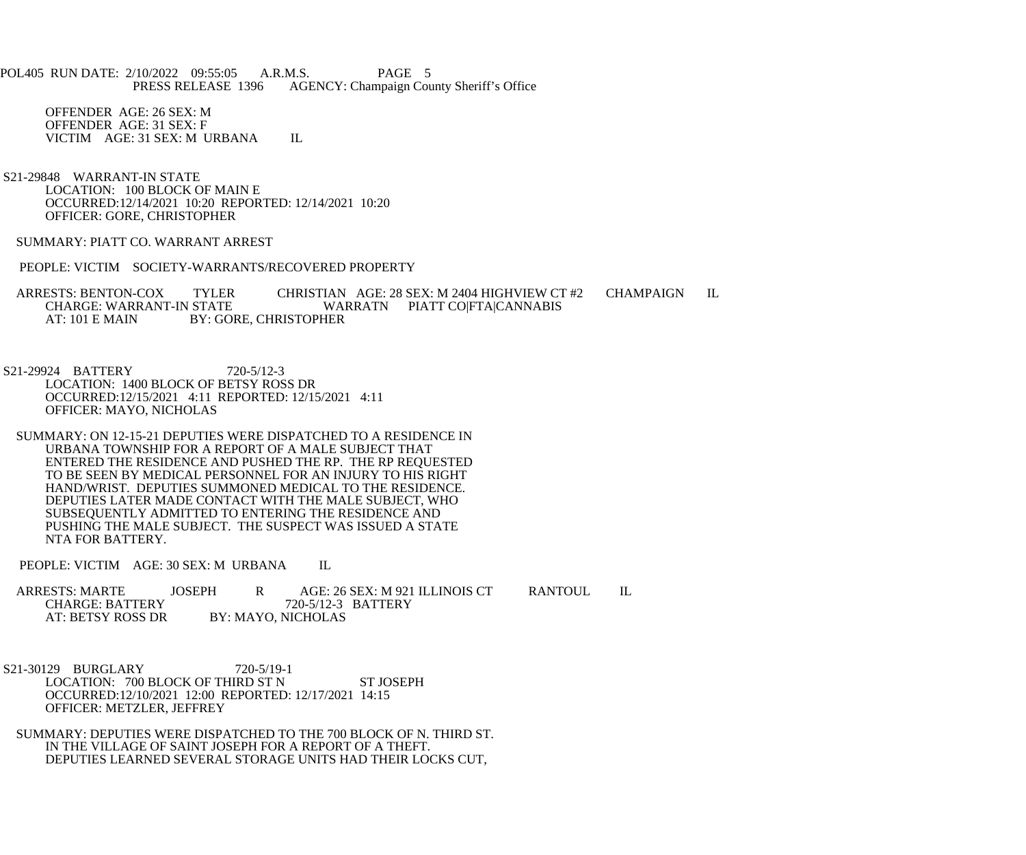POL405 RUN DATE: 2/10/2022 09:55:05 A.R.M.S. PAGE 5<br>PRESS RELEASE 1396 AGENCY: Champaign Cou AGENCY: Champaign County Sheriff's Office

 OFFENDER AGE: 26 SEX: M OFFENDER AGE: 31 SEX: F VICTIM AGE: 31 SEX: M URBANA IL

 S21-29848 WARRANT-IN STATE LOCATION: 100 BLOCK OF MAIN E OCCURRED:12/14/2021 10:20 REPORTED: 12/14/2021 10:20 OFFICER: GORE, CHRISTOPHER

SUMMARY: PIATT CO. WARRANT ARREST

PEOPLE: VICTIM SOCIETY-WARRANTS/RECOVERED PROPERTY

ARRESTS: BENTON-COX TYLER CHRISTIAN AGE: 28 SEX: M 2404 HIGHVIEW CT #2 CHAMPAIGN IL<br>CHARGE: WARRANT-IN STATE WARRATN PIATT CO|FTA|CANNABIS CHARGE: WARRANT-IN STATE WARRATN PIATT CO|FTA|CANNABIS<br>AT: 101 E MAIN BY: GORE. CHRISTOPHER BY: GORE, CHRISTOPHER

 S21-29924 BATTERY 720-5/12-3 LOCATION: 1400 BLOCK OF BETSY ROSS DR OCCURRED:12/15/2021 4:11 REPORTED: 12/15/2021 4:11 OFFICER: MAYO, NICHOLAS

 SUMMARY: ON 12-15-21 DEPUTIES WERE DISPATCHED TO A RESIDENCE IN URBANA TOWNSHIP FOR A REPORT OF A MALE SUBJECT THAT ENTERED THE RESIDENCE AND PUSHED THE RP. THE RP REQUESTED TO BE SEEN BY MEDICAL PERSONNEL FOR AN INJURY TO HIS RIGHT HAND/WRIST. DEPUTIES SUMMONED MEDICAL TO THE RESIDENCE. DEPUTIES LATER MADE CONTACT WITH THE MALE SUBJECT, WHO SUBSEQUENTLY ADMITTED TO ENTERING THE RESIDENCE AND PUSHING THE MALE SUBJECT. THE SUSPECT WAS ISSUED A STATE NTA FOR BATTERY.

PEOPLE: VICTIM AGE: 30 SEX: M URBANA IL

| <b>ARRESTS: MARTE</b>  | JOSEPH |                    | AGE: 26 SEX: M 921 ILLINOIS CT | RANTOUL |  |
|------------------------|--------|--------------------|--------------------------------|---------|--|
| <b>CHARGE: BATTERY</b> |        |                    | 720-5/12-3 BATTERY             |         |  |
| AT: BETSY ROSS DR      |        | BY: MAYO, NICHOLAS |                                |         |  |

 S21-30129 BURGLARY 720-5/19-1 LOCATION: 700 BLOCK OF THIRD ST N ST JOSEPH OCCURRED:12/10/2021 12:00 REPORTED: 12/17/2021 14:15 OFFICER: METZLER, JEFFREY

 SUMMARY: DEPUTIES WERE DISPATCHED TO THE 700 BLOCK OF N. THIRD ST. IN THE VILLAGE OF SAINT JOSEPH FOR A REPORT OF A THEFT. DEPUTIES LEARNED SEVERAL STORAGE UNITS HAD THEIR LOCKS CUT,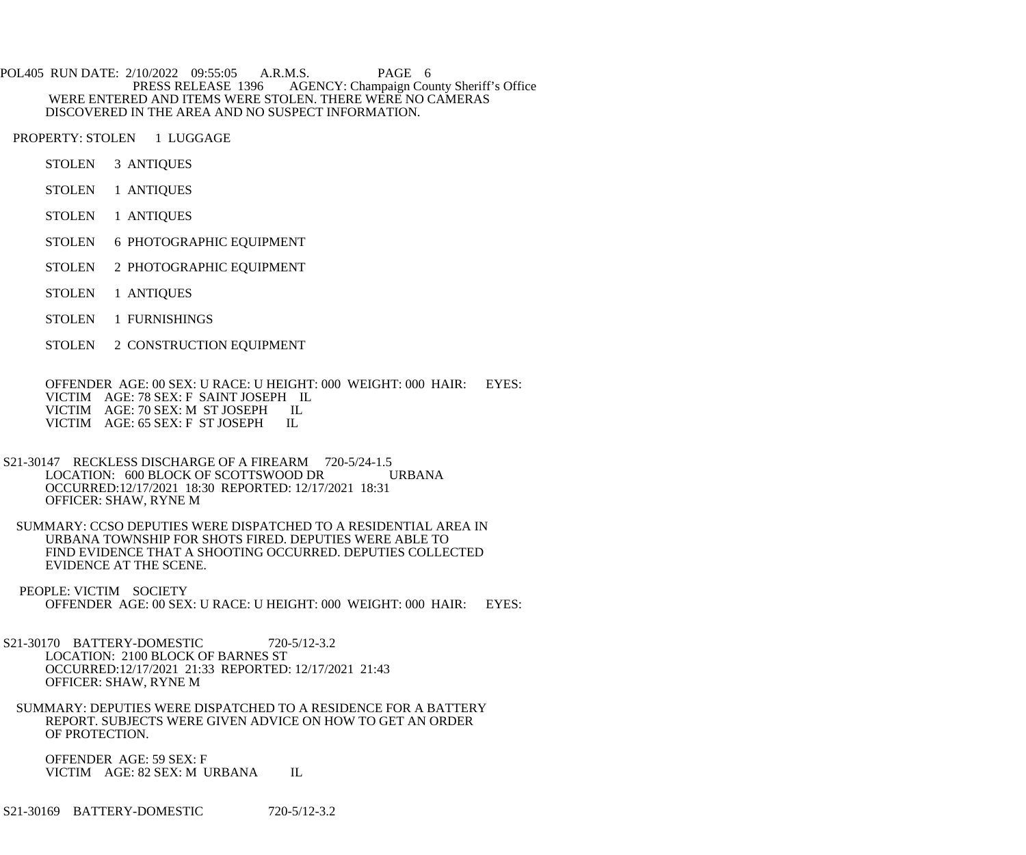POL405 RUN DATE: 2/10/2022 09:55:05 A.R.M.S. PAGE 6<br>PRESS RELEASE 1396 AGENCY: Champaign Cou AGENCY: Champaign County Sheriff's Office WERE ENTERED AND ITEMS WERE STOLEN. THERE WERE NO CAMERAS DISCOVERED IN THE AREA AND NO SUSPECT INFORMATION.

PROPERTY: STOLEN 1 LUGGAGE

- STOLEN 3 ANTIQUES
- STOLEN 1 ANTIQUES
- STOLEN 1 ANTIQUES
- STOLEN 6 PHOTOGRAPHIC EQUIPMENT
- STOLEN 2 PHOTOGRAPHIC EQUIPMENT
- STOLEN 1 ANTIQUES
- STOLEN 1 FURNISHINGS
- STOLEN 2 CONSTRUCTION EQUIPMENT

 OFFENDER AGE: 00 SEX: U RACE: U HEIGHT: 000 WEIGHT: 000 HAIR: EYES: VICTIM AGE: 78 SEX: F SAINT JOSEPH IL VICTIM AGE: 70 SEX: M ST JOSEPH IL<br>VICTIM AGE: 65 SEX: F ST JOSEPH IL VICTIM AGE: 65 SEX: F ST JOSEPH

- S21-30147 RECKLESS DISCHARGE OF A FIREARM 720-5/24-1.5<br>LOCATION: 600 BLOCK OF SCOTTSWOOD DR URBANA LOCATION: 600 BLOCK OF SCOTTSWOOD DR OCCURRED:12/17/2021 18:30 REPORTED: 12/17/2021 18:31 OFFICER: SHAW, RYNE M
- SUMMARY: CCSO DEPUTIES WERE DISPATCHED TO A RESIDENTIAL AREA IN URBANA TOWNSHIP FOR SHOTS FIRED. DEPUTIES WERE ABLE TO FIND EVIDENCE THAT A SHOOTING OCCURRED. DEPUTIES COLLECTED EVIDENCE AT THE SCENE.
- PEOPLE: VICTIM SOCIETY OFFENDER AGE: 00 SEX: U RACE: U HEIGHT: 000 WEIGHT: 000 HAIR: EYES:
- S21-30170 BATTERY-DOMESTIC 720-5/12-3.2 LOCATION: 2100 BLOCK OF BARNES ST OCCURRED:12/17/2021 21:33 REPORTED: 12/17/2021 21:43 OFFICER: SHAW, RYNE M
- SUMMARY: DEPUTIES WERE DISPATCHED TO A RESIDENCE FOR A BATTERY REPORT. SUBJECTS WERE GIVEN ADVICE ON HOW TO GET AN ORDER OF PROTECTION.

 OFFENDER AGE: 59 SEX: F VICTIM AGE: 82 SEX: M URBANA IL

S21-30169 BATTERY-DOMESTIC 720-5/12-3.2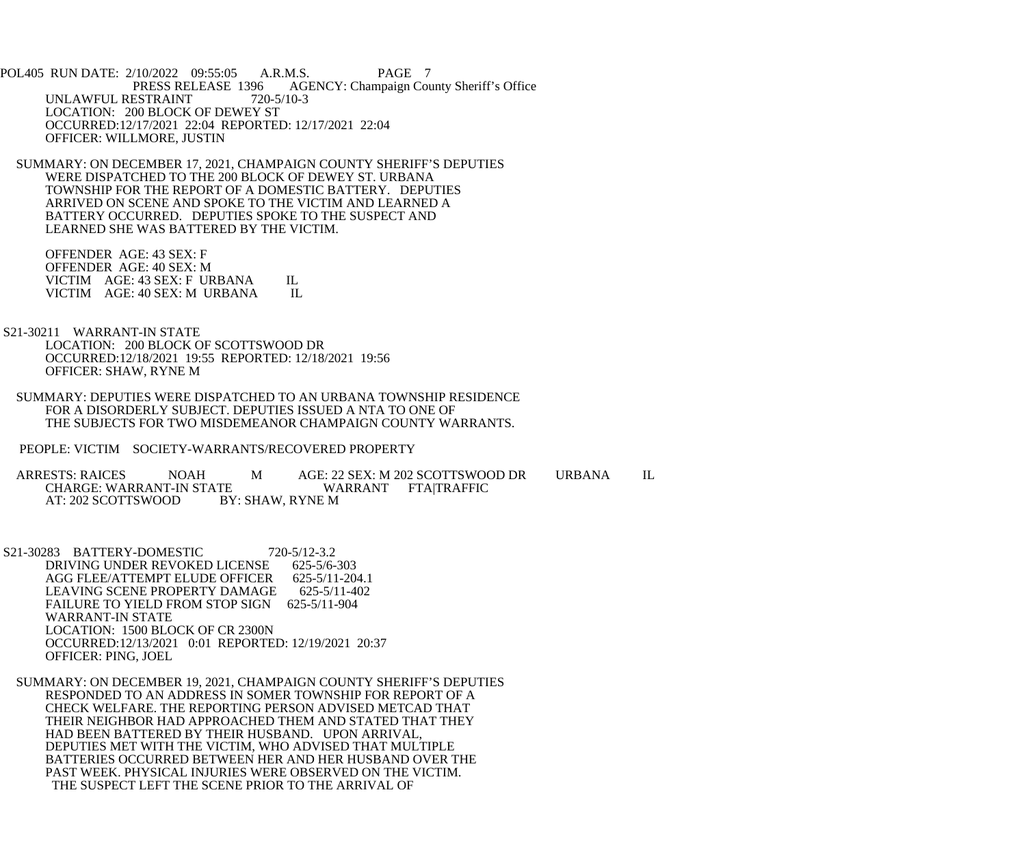POL405 RUN DATE: 2/10/2022 09:55:05 A.R.M.S. PAGE 7<br>PRESS RELEASE 1396 AGENCY: Champaign Cou AGENCY: Champaign County Sheriff's Office UNLAWFUL RESTRAINT 720-5/10-3 LOCATION: 200 BLOCK OF DEWEY ST OCCURRED:12/17/2021 22:04 REPORTED: 12/17/2021 22:04 OFFICER: WILLMORE, JUSTIN

 SUMMARY: ON DECEMBER 17, 2021, CHAMPAIGN COUNTY SHERIFF'S DEPUTIES WERE DISPATCHED TO THE 200 BLOCK OF DEWEY ST. URBANA TOWNSHIP FOR THE REPORT OF A DOMESTIC BATTERY. DEPUTIES ARRIVED ON SCENE AND SPOKE TO THE VICTIM AND LEARNED A BATTERY OCCURRED. DEPUTIES SPOKE TO THE SUSPECT AND LEARNED SHE WAS BATTERED BY THE VICTIM.

 OFFENDER AGE: 43 SEX: F OFFENDER AGE: 40 SEX: M VICTIM AGE: 43 SEX: F URBANA IL VICTIM AGE: 40 SEX: M URBANA IL

 S21-30211 WARRANT-IN STATE LOCATION: 200 BLOCK OF SCOTTSWOOD DR OCCURRED:12/18/2021 19:55 REPORTED: 12/18/2021 19:56 OFFICER: SHAW, RYNE M

 SUMMARY: DEPUTIES WERE DISPATCHED TO AN URBANA TOWNSHIP RESIDENCE FOR A DISORDERLY SUBJECT. DEPUTIES ISSUED A NTA TO ONE OF THE SUBJECTS FOR TWO MISDEMEANOR CHAMPAIGN COUNTY WARRANTS.

PEOPLE: VICTIM SOCIETY-WARRANTS/RECOVERED PROPERTY

ARRESTS: RAICES NOAH MAGE: 22 SEX: M 202 SCOTTSWOOD DR URBANA IL CHARGE: WARRANT-IN STATE WARRANT FTA|TRAFFIC CHARGE: WARRANT-IN STATE WARRANT WARRANT FRAME WARRAT: 202 SCOTTSWOOD BY: SHAW, RYNE M AT: 202 SCOTTSWOOD

S21-30283 BATTERY-DOMESTIC 720-5/12-3.2<br>DRIVING UNDER REVOKED LICENSE 625-5/6-303 DRIVING UNDER REVOKED LICENSE AGG FLEE/ATTEMPT ELUDE OFFICER 625-5/11-204.1<br>LEAVING SCENE PROPERTY DAMAGE 625-5/11-402 LEAVING SCENE PROPERTY DAMAGE FAILURE TO YIELD FROM STOP SIGN 625-5/11-904 WARRANT-IN STATE LOCATION: 1500 BLOCK OF CR 2300N OCCURRED:12/13/2021 0:01 REPORTED: 12/19/2021 20:37 OFFICER: PING, JOEL

 SUMMARY: ON DECEMBER 19, 2021, CHAMPAIGN COUNTY SHERIFF'S DEPUTIES RESPONDED TO AN ADDRESS IN SOMER TOWNSHIP FOR REPORT OF A CHECK WELFARE. THE REPORTING PERSON ADVISED METCAD THAT THEIR NEIGHBOR HAD APPROACHED THEM AND STATED THAT THEY HAD BEEN BATTERED BY THEIR HUSBAND. UPON ARRIVAL, DEPUTIES MET WITH THE VICTIM, WHO ADVISED THAT MULTIPLE BATTERIES OCCURRED BETWEEN HER AND HER HUSBAND OVER THE PAST WEEK. PHYSICAL INJURIES WERE OBSERVED ON THE VICTIM. THE SUSPECT LEFT THE SCENE PRIOR TO THE ARRIVAL OF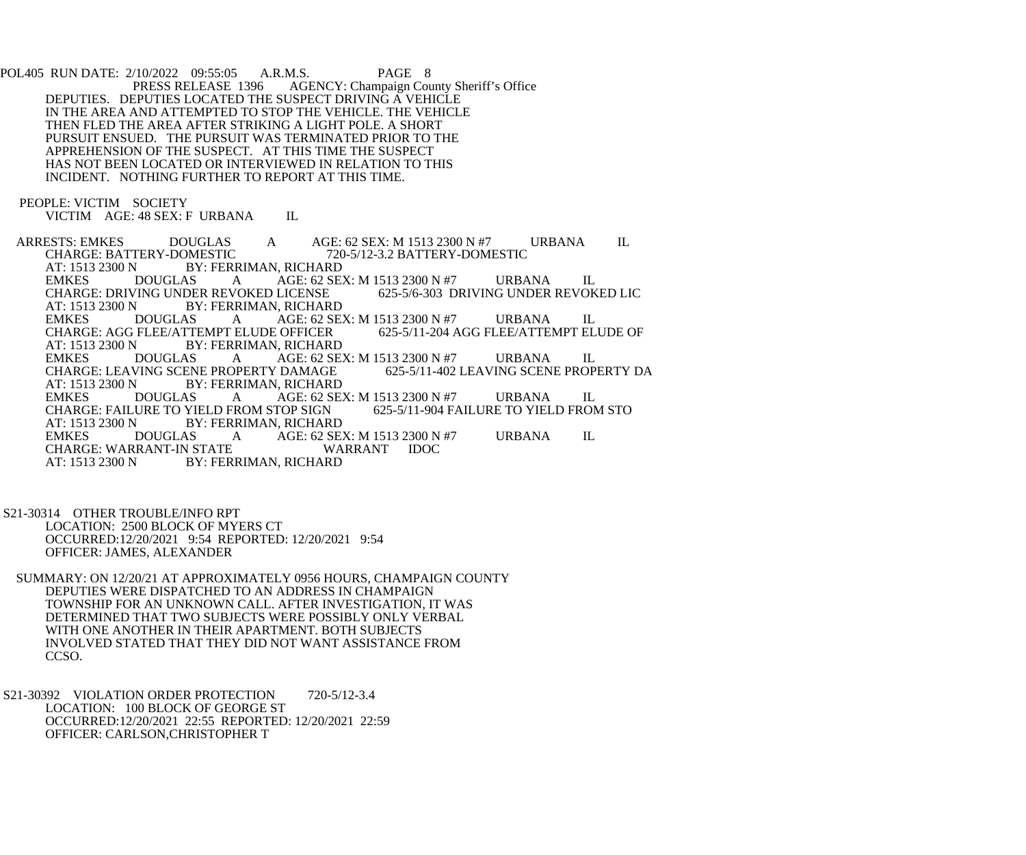POL405 RUN DATE: 2/10/2022 09:55:05 A.R.M.S. PAGE 8<br>PRESS RELEASE 1396 AGENCY: Champaign Cou AGENCY: Champaign County Sheriff's Office DEPUTIES. DEPUTIES LOCATED THE SUSPECT DRIVING A VEHICLE IN THE AREA AND ATTEMPTED TO STOP THE VEHICLE. THE VEHICLE THEN FLED THE AREA AFTER STRIKING A LIGHT POLE. A SHORT PURSUIT ENSUED. THE PURSUIT WAS TERMINATED PRIOR TO THE APPREHENSION OF THE SUSPECT. AT THIS TIME THE SUSPECT HAS NOT BEEN LOCATED OR INTERVIEWED IN RELATION TO THIS INCIDENT. NOTHING FURTHER TO REPORT AT THIS TIME.

PEOPLE: VICTIM SOCIETY

VICTIM AGE: 48 SEX: F URBANA IL

ARRESTS: EMKES DOUGLAS A AGE: 62 SEX: M 1513 2300 N #7 URBANA IL<br>CHARGE: BATTERY-DOMESTIC 720-5/12-3.2 BATTERY-DOMESTIC CHARGE: BATTERY-DOMESTIC 720-5/12-3.2 BATTERY-DOMESTIC<br>AT: 1513 2300 N BY: FERRIMAN. RICHARD AT: 1513 2300 N BY: FERRIMAN, RICHARD<br>EMKES DOUGLAS A AGE: 62 SE AGE: 62 SEX: M 1513 2300 N #7 URBANA IL<br>LICENSE 625-5/6-303 DRIVING UNDER REVOKED LIC CHARGE: DRIVING UNDER REVOKED LICENSE AT: 1513 2300 N BY: FERRIMAN, RICHARD<br>EMKES DOUGLAS A AGE: 62 SE A AGE: 62 SEX: M 1513 2300 N #7 URBANA IL<br>ELUDE OFFICER 625-5/11-204 AGG FLEE/ATTEMPT ELUDE OF CHARGE: AGG FLEE/ATTEMPT ELUDE OFFICER<br>AT: 1513 2300 N BY: FERRIMAN. RICHARI AT: 1513 2300 N BY: FERRIMAN, RICHARD<br>EMKES DOUGLAS A AGE: 62 SE A AGE: 62 SEX: M 1513 2300 N #7 URBANA IL<br>DPERTY DAMAGE 625-5/11-402 LEAVING SCENE PROPERTY DA CHARGE: LEAVING SCENE PROPERTY DAMAGE AT: 1513 2300 N BY: FERRIMAN, RICHARD<br>EMKES DOUGLAS A AGE: 62 SE AGE: 62 SEX: M 1513 2300 N #7 URBANA IL<br>TOP SIGN 625-5/11-904 FAILURE TO YIELD FROM STO CHARGE: FAILURE TO YIELD FROM STOP SIGN<br>AT: 1513 2300 N BY: FERRIMAN, RICHARI BY: FERRIMAN, RICHARD EMKES DOUGLAS A AGE: 62 SEX: M 1513 2300 N #7 URBANA IL CHARGE: WARRANT WARRANT IDOC CHARGE: WARRANT-IN STATE<br>AT: 1513 2300 N BY: FERI BY: FERRIMAN, RICHARD

 S21-30314 OTHER TROUBLE/INFO RPT LOCATION: 2500 BLOCK OF MYERS CT OCCURRED:12/20/2021 9:54 REPORTED: 12/20/2021 9:54 OFFICER: JAMES, ALEXANDER

 SUMMARY: ON 12/20/21 AT APPROXIMATELY 0956 HOURS, CHAMPAIGN COUNTY DEPUTIES WERE DISPATCHED TO AN ADDRESS IN CHAMPAIGN TOWNSHIP FOR AN UNKNOWN CALL. AFTER INVESTIGATION, IT WAS DETERMINED THAT TWO SUBJECTS WERE POSSIBLY ONLY VERBAL WITH ONE ANOTHER IN THEIR APARTMENT. BOTH SUBJECTS INVOLVED STATED THAT THEY DID NOT WANT ASSISTANCE FROM CCSO.

S21-30392 VIOLATION ORDER PROTECTION 720-5/12-3.4 LOCATION: 100 BLOCK OF GEORGE ST OCCURRED:12/20/2021 22:55 REPORTED: 12/20/2021 22:59 OFFICER: CARLSON,CHRISTOPHER T